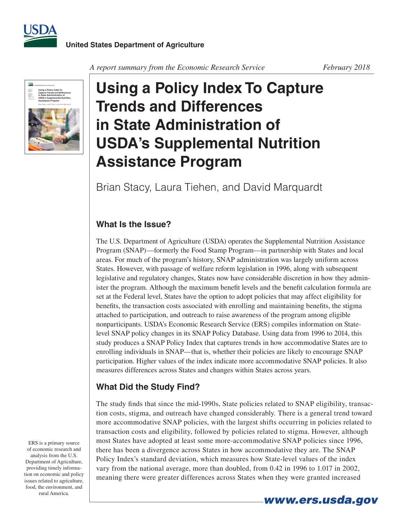



A report summary from the Economic Research Service February 2018

## **Using a Policy Index To Capture Trends and Differences in State Administration of USDA's Supplemental Nutrition Assistance Program**

Brian Stacy, Laura Tiehen, and David Marquardt

## **What Is the Issue?**

The U.S. Department of Agriculture (USDA) operates the Supplemental Nutrition Assistance Program (SNAP)—formerly the Food Stamp Program—in partnership with States and local areas. For much of the program's history, SNAP administration was largely uniform across States. However, with passage of welfare reform legislation in 1996, along with subsequent legislative and regulatory changes, States now have considerable discretion in how they administer the program. Although the maximum benefit levels and the benefit calculation formula are set at the Federal level, States have the option to adopt policies that may affect eligibility for benefits, the transaction costs associated with enrolling and maintaining benefits, the stigma attached to participation, and outreach to raise awareness of the program among eligible nonparticipants. USDA's Economic Research Service (ERS) compiles information on Statelevel SNAP policy changes in its SNAP Policy Database. Using data from 1996 to 2014, this study produces a SNAP Policy Index that captures trends in how accommodative States are to enrolling individuals in SNAP—that is, whether their policies are likely to encourage SNAP participation. Higher values of the index indicate more accommodative SNAP policies. It also measures differences across States and changes within States across years.

## **What Did the Study Find?**

The study finds that since the mid-1990s, State policies related to SNAP eligibility, transaction costs, stigma, and outreach have changed considerably. There is a general trend toward more accommodative SNAP policies, with the largest shifts occurring in policies related to transaction costs and eligibility, followed by policies related to stigma. However, although most States have adopted at least some more-accommodative SNAP policies since 1996, there has been a divergence across States in how accommodative they are. The SNAP Policy Index's standard deviation, which measures how State-level values of the index vary from the national average, more than doubled, from 0.42 in 1996 to 1.017 in 2002, meaning there were greater differences across States when they were granted increased

ERS is a primary source of economic research and analysis from the U.S. Department of Agriculture, providing timely information on economic and policy issues related to agriculture, food, the environment, and rural America.